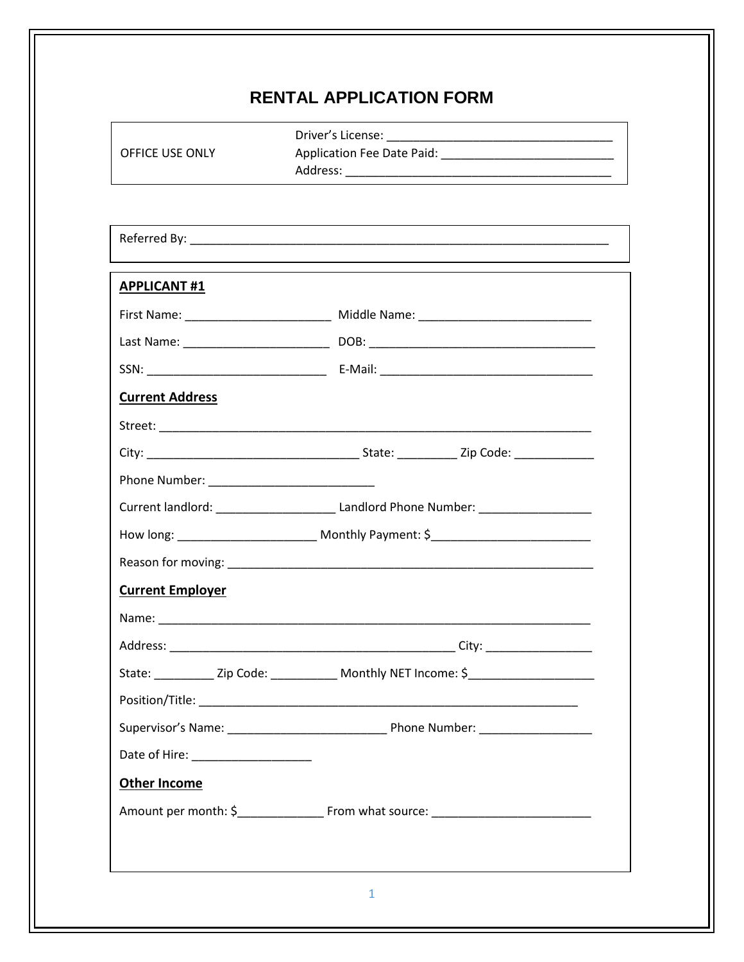## **RENTAL APPLICATION FORM**

| OFFICE USE ONLY         |                                                                                                       |
|-------------------------|-------------------------------------------------------------------------------------------------------|
|                         | ,我们也不会有什么。""我们的人,我们也不会有什么?""我们的人,我们也不会有什么?""我们的人,我们也不会有什么?""我们的人,我们也不会有什么?""我们的人                      |
| <b>APPLICANT #1</b>     |                                                                                                       |
|                         | First Name: _____________________________ Middle Name: _________________________                      |
|                         |                                                                                                       |
|                         |                                                                                                       |
| <b>Current Address</b>  |                                                                                                       |
|                         |                                                                                                       |
|                         |                                                                                                       |
|                         |                                                                                                       |
|                         | Current landlord: __________________________________Landlord Phone Number: ________________________   |
|                         | How long: __________________________ Monthly Payment: \$_________________________                     |
|                         |                                                                                                       |
| <b>Current Employer</b> |                                                                                                       |
|                         |                                                                                                       |
|                         |                                                                                                       |
|                         | State: ______________Zip Code: ________________ Monthly NET Income: \$______________________________  |
|                         |                                                                                                       |
|                         |                                                                                                       |
|                         |                                                                                                       |
| <b>Other Income</b>     |                                                                                                       |
|                         | Amount per month: \$_______________________________From what source: ________________________________ |
|                         |                                                                                                       |
|                         |                                                                                                       |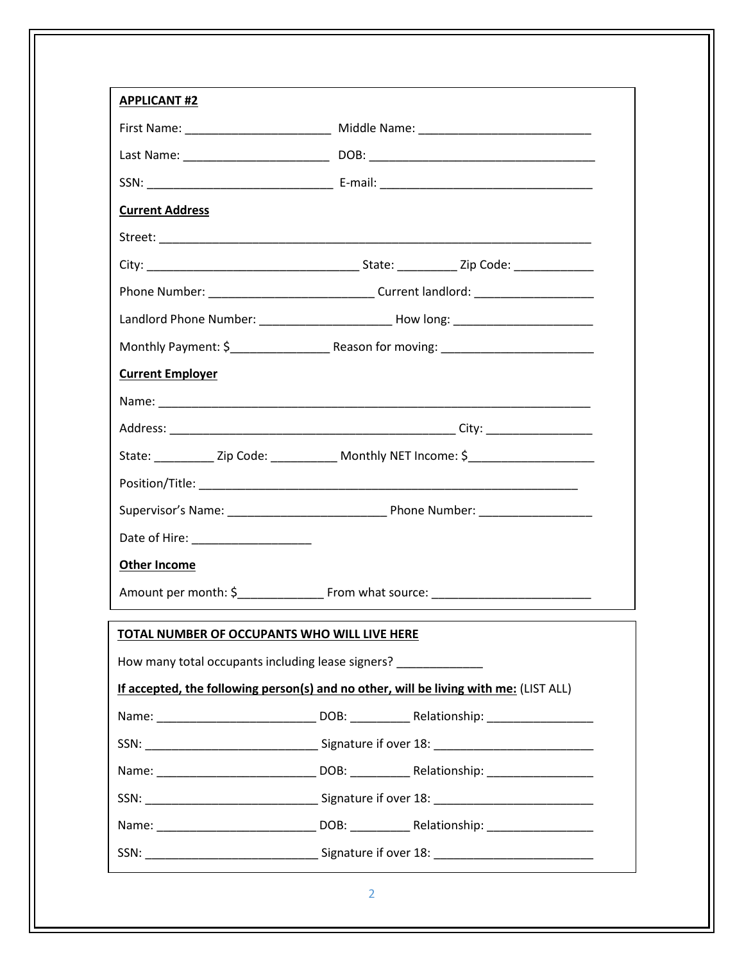| <b>APPLICANT#2</b>                                          |                                                                                                                                                         |  |  |
|-------------------------------------------------------------|---------------------------------------------------------------------------------------------------------------------------------------------------------|--|--|
|                                                             | First Name: ________________________________ Middle Name: _______________________                                                                       |  |  |
|                                                             |                                                                                                                                                         |  |  |
|                                                             |                                                                                                                                                         |  |  |
| <b>Current Address</b>                                      |                                                                                                                                                         |  |  |
|                                                             |                                                                                                                                                         |  |  |
|                                                             |                                                                                                                                                         |  |  |
|                                                             |                                                                                                                                                         |  |  |
|                                                             | Landlord Phone Number: _____________________________How long: __________________                                                                        |  |  |
|                                                             |                                                                                                                                                         |  |  |
| <b>Current Employer</b>                                     |                                                                                                                                                         |  |  |
|                                                             |                                                                                                                                                         |  |  |
|                                                             |                                                                                                                                                         |  |  |
|                                                             | State: ______________Zip Code: __________________Monthly NET Income: \$_____________________________                                                    |  |  |
|                                                             |                                                                                                                                                         |  |  |
|                                                             |                                                                                                                                                         |  |  |
|                                                             |                                                                                                                                                         |  |  |
| <b>Other Income</b>                                         |                                                                                                                                                         |  |  |
| Amount per month: \$<br><b>Example 15 From what source:</b> |                                                                                                                                                         |  |  |
| <b>TOTAL NUMBER OF OCCUPANTS WHO WILL LIVE HERE</b>         | How many total occupants including lease signers? ____________<br>If accepted, the following person(s) and no other, will be living with me: (LIST ALL) |  |  |
|                                                             |                                                                                                                                                         |  |  |
|                                                             |                                                                                                                                                         |  |  |
|                                                             |                                                                                                                                                         |  |  |
|                                                             |                                                                                                                                                         |  |  |
|                                                             |                                                                                                                                                         |  |  |
|                                                             |                                                                                                                                                         |  |  |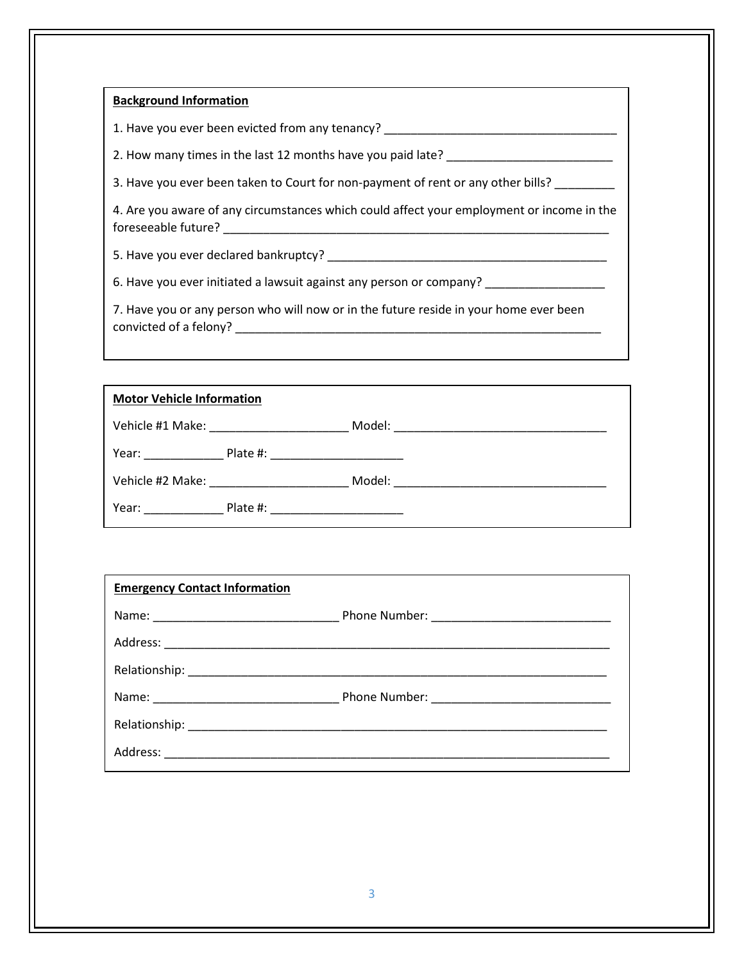## **Background Information**

1. Have you ever been evicted from any tenancy? \_\_\_\_\_\_\_\_\_\_\_\_\_\_\_\_\_\_\_\_\_\_\_\_\_\_\_\_\_\_\_\_

2. How many times in the last 12 months have you paid late?

3. Have you ever been taken to Court for non-payment of rent or any other bills? \_\_\_\_\_\_\_\_\_

4. Are you aware of any circumstances which could affect your employment or income in the foreseeable future? \_\_\_\_\_\_\_\_\_\_\_\_\_\_\_\_\_\_\_\_\_\_\_\_\_\_\_\_\_\_\_\_\_\_\_\_\_\_\_\_\_\_\_\_\_\_\_\_\_\_\_\_\_\_\_\_\_\_

5. Have you ever declared bankruptcy? \_\_\_\_\_\_\_\_\_\_\_\_\_\_\_\_\_\_\_\_\_\_\_\_\_\_\_\_\_\_\_\_\_\_\_\_\_\_\_\_\_\_

6. Have you ever initiated a lawsuit against any person or company? \_\_\_\_\_\_\_\_\_\_\_\_\_

7. Have you or any person who will now or in the future reside in your home ever been convicted of a felony? \_\_\_\_\_\_\_\_\_\_\_\_\_\_\_\_\_\_\_\_\_\_\_\_\_\_\_\_\_\_\_\_\_\_\_\_\_\_\_\_\_\_\_\_\_\_\_\_\_\_\_\_\_\_\_

| <b>Motor Vehicle Information</b>                                                                               |                                                                                                                |  |  |  |
|----------------------------------------------------------------------------------------------------------------|----------------------------------------------------------------------------------------------------------------|--|--|--|
|                                                                                                                |                                                                                                                |  |  |  |
| Year: and the state of the state of the state of the state of the state of the state of the state of the state | Plate #: ______________________                                                                                |  |  |  |
|                                                                                                                | Vehicle #2 Make: National Property of the May 12 May 12 May 12 May 12 May 12 May 12 May 12 May 12 May 12 May 1 |  |  |  |
|                                                                                                                | Year: Plate #: Plate #:                                                                                        |  |  |  |

| <b>Emergency Contact Information</b> |  |
|--------------------------------------|--|
|                                      |  |
|                                      |  |
|                                      |  |
|                                      |  |
|                                      |  |
|                                      |  |